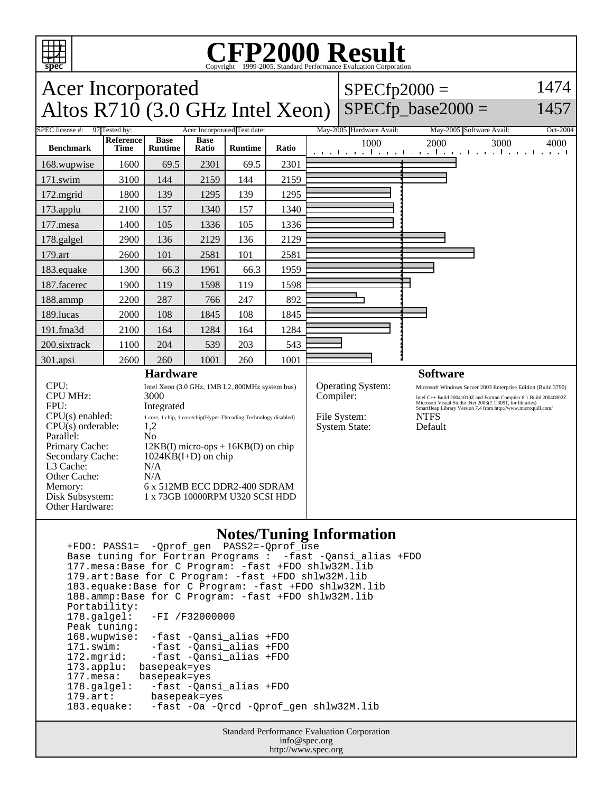

#### **CFP2000 Result** Copyright 1999-2005, Standard Performance Evaluation Corporation

#### Acer Incorporated Altos  $R710(3.0 \text{ GHz Intel Xeon})$  $SPECfp2000 =$  $SPECfp\_base2000 =$ 1474 1457 SPEC license #: 97 Tested by: Acer Incorporated Test date: May-2005 Hardware Avail: May-2005 Software Avail: Oct-2004 **Benchmark Reference Time Base Runtime Base Ratio Runtime Ratio** 1000 2000 3000 4000 168.wupwise 1600 69.5 2301 69.5 2301 171.swim | 3100 | 144 | 2159 | 144 | 2159 172.mgrid | 1800 | 139 | 1295 | 139 | 1295 173.applu | 2100 | 157 | 1340 | 157 | 1340 177.mesa | 1400 | 105 | 1336 | 105 | 1336 178.galgel | 2900 | 136 | 2129 | 136 | 2129 179.art 2600 101 2581 101 2581 183.equake 1300 66.3 1961 66.3 1959 187.facerec | 1900 | 119 | 1598 | 119 | 1598 188.ammp | 2200 | 287 | 766 | 247 | 892 189.lucas | 2000 | 108 | 1845 | 108 | 1845 191.fma3d | 2100 | 164 | 1284 | 164 | 1284 200.sixtrack | 1100 | 204 | 539 | 203 | 543 301.apsi 2600 260 1001 260 1001 **Hardware** CPU:<br>
Intel Xeon (3.0 GHz, 1MB L2, 800MHz system bus)<br>
CPU MHz:<br>
3000 CPU MHz: FPU: Integrated  $CPU(s) enable: 1 core, 1 chip, 1 core/chip(Hyper-Threading Technology disabled)$ <br> $CPU(s) orderable: 1.2$  $CPU(s)$  orderable: Parallel: No Primary Cache: 12KB(I) micro-ops + 16KB(D) on chip Secondary Cache: 1024KB(I+D) on chip L3 Cache: N/A Other Cache: N/A Memory: 6 x 512MB ECC DDR2-400 SDRAM Disk Subsystem: 1 x 73GB 10000RPM U320 SCSI HDD Other Hardware: **Software** Operating System: Microsoft Windows Server 2003 Enterprise Edition (Build 3790)<br>
Compiler:  $\frac{1}{2}$  Intel C++ Build 20041019Z and Fortran Compiler 8.1 Build 20040802Z Compiler: Intel C++ Build 20041019Z and Fortran Compiler 8.1 Build 20040802Z<br>Microsoft Visual Studio .Net 2003(7.1.3091, for libraries)<br>SmartHeap Library Version 7.4 from http://www.microquill.com/ File System: NTFS System State: Default

### **Notes/Tuning Information**

 +FDO: PASS1= -Qprof\_gen PASS2=-Qprof\_use Base tuning for Fortran Programs : -fast -Qansi\_alias +FDO 177.mesa:Base for C Program: -fast +FDO shlw32M.lib 179.art:Base for C Program: -fast +FDO shlw32M.lib 183.equake:Base for C Program: -fast +FDO shlw32M.lib 188.ammp:Base for C Program: -fast +FDO shlw32M.lib Portability:<br>178.galgel: -FI /F32000000 Peak tuning: 168.wupwise: -fast -Qansi\_alias +FDO 171.swim: -fast -Qansi\_alias +FDO 172.mgrid: -fast -Qansi\_alias +FDO 173.applu: basepeak=yes<br>177.mesa: basepeak=yes 177.mesa: basepeak=yes<br>178.galgel: -fast -Qan -fast -Qansi\_alias +FDO 179.art: basepeak=yes -fast -Oa -Qrcd -Qprof\_gen shlw32M.lib

> Standard Performance Evaluation Corporation info@spec.org http://www.spec.org